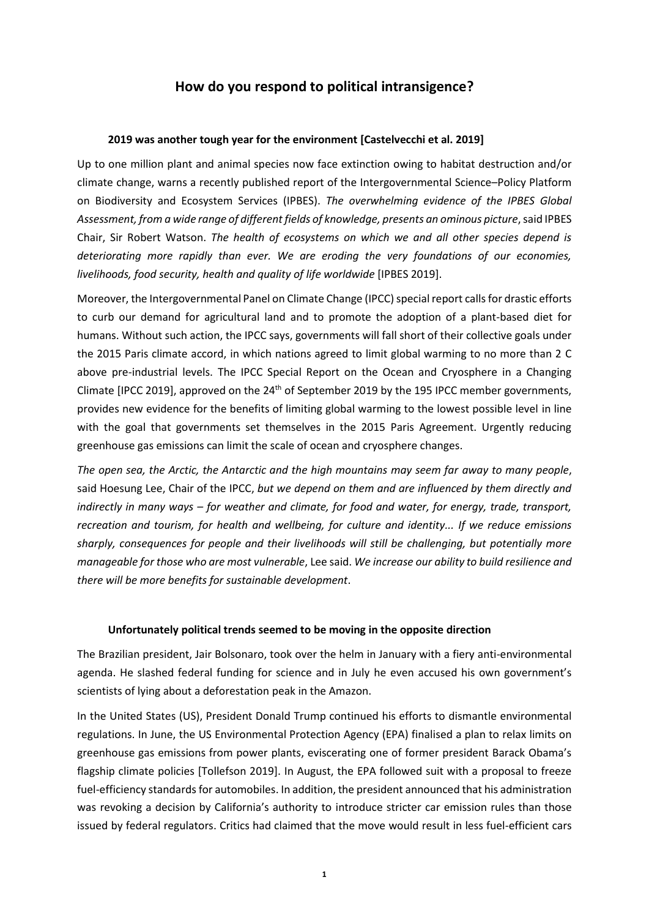# **How do you respond to political intransigence?**

# **2019 was another tough year for the environment [Castelvecchi et al. 2019]**

Up to one million plant and animal species now face extinction owing to habitat destruction and/or climate change, warns a recently published report of the Intergovernmental Science–Policy Platform on Biodiversity and Ecosystem Services (IPBES). *The overwhelming evidence of the IPBES Global Assessment, from a wide range of different fields of knowledge, presents an ominous picture*, said IPBES Chair, Sir Robert Watson. *The health of ecosystems on which we and all other species depend is deteriorating more rapidly than ever. We are eroding the very foundations of our economies, livelihoods, food security, health and quality of life worldwide* [IPBES 2019].

Moreover, the Intergovernmental Panel on Climate Change (IPCC) special report callsfor drastic efforts to curb our demand for agricultural land and to promote the adoption of a plant-based diet for humans. Without such action, the IPCC says, governments will fall short of their collective goals under the 2015 Paris climate accord, in which nations agreed to limit global warming to no more than 2 C above pre-industrial levels. The IPCC Special Report on the Ocean and Cryosphere in a Changing Climate [IPCC 2019], approved on the  $24<sup>th</sup>$  of September 2019 by the 195 IPCC member governments, provides new evidence for the benefits of limiting global warming to the lowest possible level in line with the goal that governments set themselves in the 2015 Paris Agreement. Urgently reducing greenhouse gas emissions can limit the scale of ocean and cryosphere changes.

*The open sea, the Arctic, the Antarctic and the high mountains may seem far away to many people*, said Hoesung Lee, Chair of the IPCC, *but we depend on them and are influenced by them directly and indirectly in many ways – for weather and climate, for food and water, for energy, trade, transport, recreation and tourism, for health and wellbeing, for culture and identity... If we reduce emissions sharply, consequences for people and their livelihoods will still be challenging, but potentially more manageable for those who are most vulnerable*, Lee said. *We increase our ability to build resilience and there will be more benefits for sustainable development*.

## **Unfortunately political trends seemed to be moving in the opposite direction**

The Brazilian president, Jair Bolsonaro, took over the helm in January with a fiery anti-environmental agenda. He slashed federal funding for science and in July he even accused his own government's scientists of lying about a deforestation peak in the Amazon.

In the United States (US), President Donald Trump continued his efforts to dismantle environmental regulations. In June, the US Environmental Protection Agency (EPA) finalised a plan to relax limits on greenhouse gas emissions from power plants, eviscerating one of former president Barack Obama's flagship climate policies [Tollefson 2019]. In August, the EPA followed suit with a proposal to freeze fuel-efficiency standards for automobiles. In addition, the president announced that his administration was revoking a decision by California's authority to introduce stricter car emission rules than those issued by federal regulators. Critics had claimed that the move would result in less fuel-efficient cars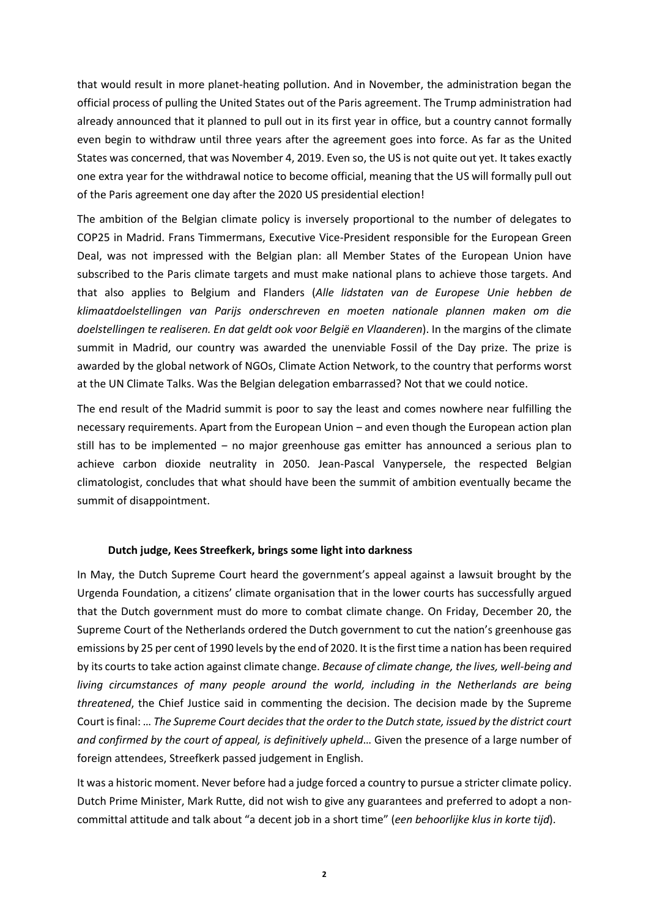that would result in more planet-heating pollution. And in November, the administration began the official process of pulling the United States out of the Paris agreement. The Trump administration had already announced that it planned to pull out in its first year in office, but a country cannot formally even begin to withdraw until three years after the agreement goes into force. As far as the United States was concerned, that was November 4, 2019. Even so, the US is not quite out yet. It takes exactly one extra year for the withdrawal notice to become official, meaning that the US will formally pull out of the Paris agreement one day after the 2020 US presidential election!

The ambition of the Belgian climate policy is inversely proportional to the number of delegates to COP25 in Madrid. Frans Timmermans, Executive Vice-President responsible for the European Green Deal, was not impressed with the Belgian plan: all Member States of the European Union have subscribed to the Paris climate targets and must make national plans to achieve those targets. And that also applies to Belgium and Flanders (*Alle lidstaten van de Europese Unie hebben de klimaatdoelstellingen van Parijs onderschreven en moeten nationale plannen maken om die doelstellingen te realiseren. En dat geldt ook voor België en Vlaanderen*). In the margins of the climate summit in Madrid, our country was awarded the unenviable Fossil of the Day prize. The prize is awarded by the global network of NGOs, Climate Action Network, to the country that performs worst at the UN Climate Talks. Was the Belgian delegation embarrassed? Not that we could notice.

The end result of the Madrid summit is poor to say the least and comes nowhere near fulfilling the necessary requirements. Apart from the European Union – and even though the European action plan still has to be implemented – no major greenhouse gas emitter has announced a serious plan to achieve carbon dioxide neutrality in 2050. Jean-Pascal Vanypersele, the respected Belgian climatologist, concludes that what should have been the summit of ambition eventually became the summit of disappointment.

## **Dutch judge, Kees Streefkerk, brings some light into darkness**

In May, the Dutch Supreme Court heard the government's appeal against a lawsuit brought by the Urgenda Foundation, a citizens' climate organisation that in the lower courts has successfully argued that the Dutch government must do more to combat climate change. On Friday, December 20, the Supreme Court of the Netherlands ordered the Dutch government to cut the nation's greenhouse gas emissions by 25 per cent of 1990 levels by the end of 2020. It is the first time a nation has been required by its courts to take action against climate change. *Because of climate change, the lives, well-being and living circumstances of many people around the world, including in the Netherlands are being threatened*, the Chief Justice said in commenting the decision. The decision made by the Supreme Court is final: … *The Supreme Court decides that the order to the Dutch state, issued by the district court and confirmed by the court of appeal, is definitively upheld*… Given the presence of a large number of foreign attendees, Streefkerk passed judgement in English.

It was a historic moment. Never before had a judge forced a country to pursue a stricter climate policy. Dutch Prime Minister, Mark Rutte, did not wish to give any guarantees and preferred to adopt a noncommittal attitude and talk about "a decent job in a short time" (*een behoorlijke klus in korte tijd*).